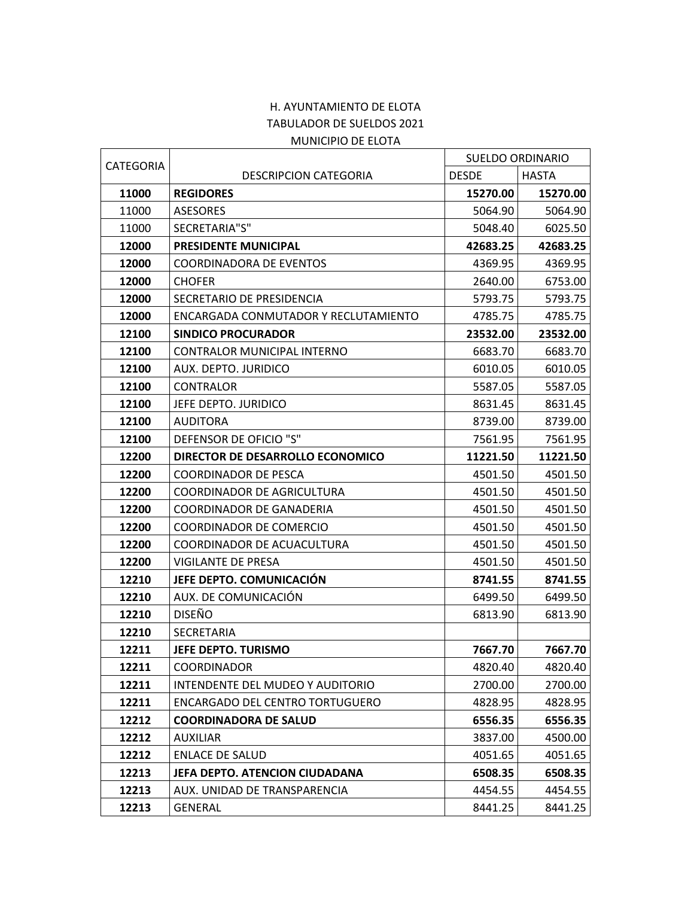## H. AYUNTAMIENTO DE ELOTA TABULADOR DE SUELDOS 2021 MUNICIPIO DE ELOTA

| CATEGORIA |                                      |              | <b>SUELDO ORDINARIO</b> |  |
|-----------|--------------------------------------|--------------|-------------------------|--|
|           | <b>DESCRIPCION CATEGORIA</b>         | <b>DESDE</b> | <b>HASTA</b>            |  |
| 11000     | <b>REGIDORES</b>                     | 15270.00     | 15270.00                |  |
| 11000     | <b>ASESORES</b>                      | 5064.90      | 5064.90                 |  |
| 11000     | SECRETARIA"S"                        | 5048.40      | 6025.50                 |  |
| 12000     | PRESIDENTE MUNICIPAL                 | 42683.25     | 42683.25                |  |
| 12000     | <b>COORDINADORA DE EVENTOS</b>       | 4369.95      | 4369.95                 |  |
| 12000     | <b>CHOFER</b>                        | 2640.00      | 6753.00                 |  |
| 12000     | SECRETARIO DE PRESIDENCIA            | 5793.75      | 5793.75                 |  |
| 12000     | ENCARGADA CONMUTADOR Y RECLUTAMIENTO | 4785.75      | 4785.75                 |  |
| 12100     | <b>SINDICO PROCURADOR</b>            | 23532.00     | 23532.00                |  |
| 12100     | CONTRALOR MUNICIPAL INTERNO          | 6683.70      | 6683.70                 |  |
| 12100     | AUX. DEPTO. JURIDICO                 | 6010.05      | 6010.05                 |  |
| 12100     | CONTRALOR                            | 5587.05      | 5587.05                 |  |
| 12100     | JEFE DEPTO. JURIDICO                 | 8631.45      | 8631.45                 |  |
| 12100     | <b>AUDITORA</b>                      | 8739.00      | 8739.00                 |  |
| 12100     | DEFENSOR DE OFICIO "S"               | 7561.95      | 7561.95                 |  |
| 12200     | DIRECTOR DE DESARROLLO ECONOMICO     | 11221.50     | 11221.50                |  |
| 12200     | <b>COORDINADOR DE PESCA</b>          | 4501.50      | 4501.50                 |  |
| 12200     | COORDINADOR DE AGRICULTURA           | 4501.50      | 4501.50                 |  |
| 12200     | <b>COORDINADOR DE GANADERIA</b>      | 4501.50      | 4501.50                 |  |
| 12200     | COORDINADOR DE COMERCIO              | 4501.50      | 4501.50                 |  |
| 12200     | COORDINADOR DE ACUACULTURA           | 4501.50      | 4501.50                 |  |
| 12200     | VIGILANTE DE PRESA                   | 4501.50      | 4501.50                 |  |
| 12210     | JEFE DEPTO. COMUNICACIÓN             | 8741.55      | 8741.55                 |  |
| 12210     | AUX. DE COMUNICACIÓN                 | 6499.50      | 6499.50                 |  |
| 12210     | <b>DISEÑO</b>                        | 6813.90      | 6813.90                 |  |
| 12210     | <b>SECRETARIA</b>                    |              |                         |  |
| 12211     | <b>JEFE DEPTO. TURISMO</b>           | 7667.70      | 7667.70                 |  |
| 12211     | <b>COORDINADOR</b>                   | 4820.40      | 4820.40                 |  |
| 12211     | INTENDENTE DEL MUDEO Y AUDITORIO     | 2700.00      | 2700.00                 |  |
| 12211     | ENCARGADO DEL CENTRO TORTUGUERO      | 4828.95      | 4828.95                 |  |
| 12212     | <b>COORDINADORA DE SALUD</b>         | 6556.35      | 6556.35                 |  |
| 12212     | <b>AUXILIAR</b>                      | 3837.00      | 4500.00                 |  |
| 12212     | <b>ENLACE DE SALUD</b>               | 4051.65      | 4051.65                 |  |
| 12213     | JEFA DEPTO. ATENCION CIUDADANA       | 6508.35      | 6508.35                 |  |
| 12213     | AUX. UNIDAD DE TRANSPARENCIA         | 4454.55      | 4454.55                 |  |
| 12213     | <b>GENERAL</b>                       | 8441.25      | 8441.25                 |  |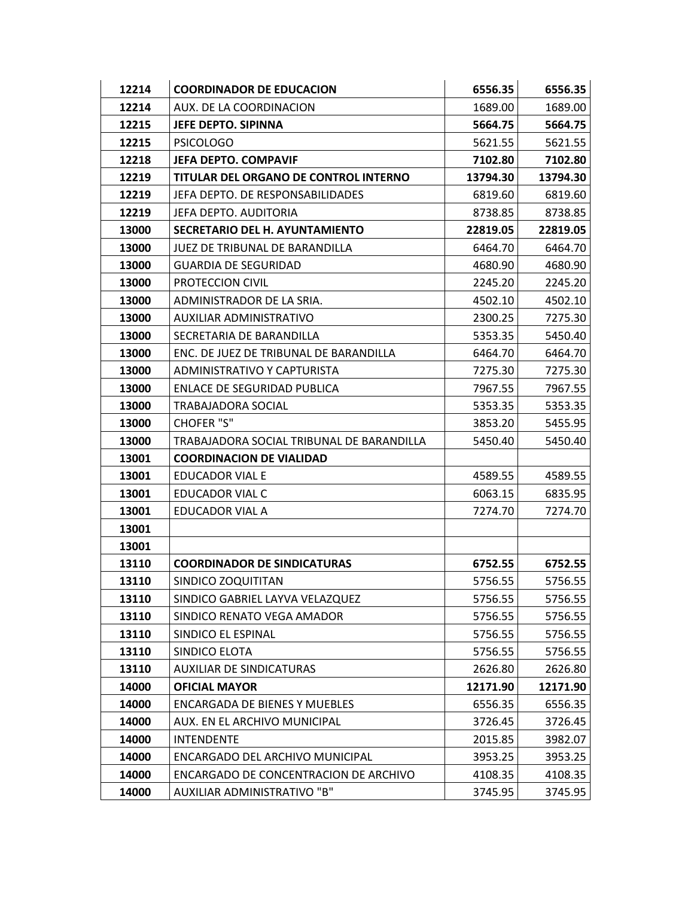| 12214 | <b>COORDINADOR DE EDUCACION</b>           | 6556.35  | 6556.35  |
|-------|-------------------------------------------|----------|----------|
| 12214 | AUX. DE LA COORDINACION                   | 1689.00  | 1689.00  |
| 12215 | JEFE DEPTO. SIPINNA                       | 5664.75  | 5664.75  |
| 12215 | <b>PSICOLOGO</b>                          | 5621.55  | 5621.55  |
| 12218 | JEFA DEPTO. COMPAVIF                      | 7102.80  | 7102.80  |
| 12219 | TITULAR DEL ORGANO DE CONTROL INTERNO     | 13794.30 | 13794.30 |
| 12219 | JEFA DEPTO. DE RESPONSABILIDADES          | 6819.60  | 6819.60  |
| 12219 | JEFA DEPTO, AUDITORIA                     | 8738.85  | 8738.85  |
| 13000 | <b>SECRETARIO DEL H. AYUNTAMIENTO</b>     | 22819.05 | 22819.05 |
| 13000 | JUEZ DE TRIBUNAL DE BARANDILLA            | 6464.70  | 6464.70  |
| 13000 | <b>GUARDIA DE SEGURIDAD</b>               | 4680.90  | 4680.90  |
| 13000 | PROTECCION CIVIL                          | 2245.20  | 2245.20  |
| 13000 | ADMINISTRADOR DE LA SRIA.                 | 4502.10  | 4502.10  |
| 13000 | AUXILIAR ADMINISTRATIVO                   | 2300.25  | 7275.30  |
| 13000 | SECRETARIA DE BARANDILLA                  | 5353.35  | 5450.40  |
| 13000 | ENC. DE JUEZ DE TRIBUNAL DE BARANDILLA    | 6464.70  | 6464.70  |
| 13000 | ADMINISTRATIVO Y CAPTURISTA               | 7275.30  | 7275.30  |
| 13000 | <b>ENLACE DE SEGURIDAD PUBLICA</b>        | 7967.55  | 7967.55  |
| 13000 | <b>TRABAJADORA SOCIAL</b>                 | 5353.35  | 5353.35  |
| 13000 | <b>CHOFER "S"</b>                         | 3853.20  | 5455.95  |
| 13000 | TRABAJADORA SOCIAL TRIBUNAL DE BARANDILLA | 5450.40  | 5450.40  |
| 13001 | <b>COORDINACION DE VIALIDAD</b>           |          |          |
| 13001 | EDUCADOR VIAL E                           | 4589.55  | 4589.55  |
| 13001 | <b>EDUCADOR VIAL C</b>                    | 6063.15  | 6835.95  |
| 13001 | EDUCADOR VIAL A                           | 7274.70  | 7274.70  |
| 13001 |                                           |          |          |
| 13001 |                                           |          |          |
| 13110 | <b>COORDINADOR DE SINDICATURAS</b>        | 6752.55  | 6752.55  |
| 13110 | SINDICO ZOQUITITAN                        | 5756.55  | 5756.55  |
| 13110 | SINDICO GABRIEL LAYVA VELAZQUEZ           | 5756.55  | 5756.55  |
| 13110 | SINDICO RENATO VEGA AMADOR                | 5756.55  | 5756.55  |
| 13110 | SINDICO EL ESPINAL                        | 5756.55  | 5756.55  |
| 13110 | SINDICO ELOTA                             | 5756.55  | 5756.55  |
| 13110 | AUXILIAR DE SINDICATURAS                  | 2626.80  | 2626.80  |
| 14000 | <b>OFICIAL MAYOR</b>                      | 12171.90 | 12171.90 |
| 14000 | <b>ENCARGADA DE BIENES Y MUEBLES</b>      | 6556.35  | 6556.35  |
| 14000 | AUX. EN EL ARCHIVO MUNICIPAL              | 3726.45  | 3726.45  |
| 14000 | <b>INTENDENTE</b>                         | 2015.85  | 3982.07  |
| 14000 | ENCARGADO DEL ARCHIVO MUNICIPAL           | 3953.25  | 3953.25  |
| 14000 | ENCARGADO DE CONCENTRACION DE ARCHIVO     | 4108.35  | 4108.35  |
| 14000 | AUXILIAR ADMINISTRATIVO "B"               | 3745.95  | 3745.95  |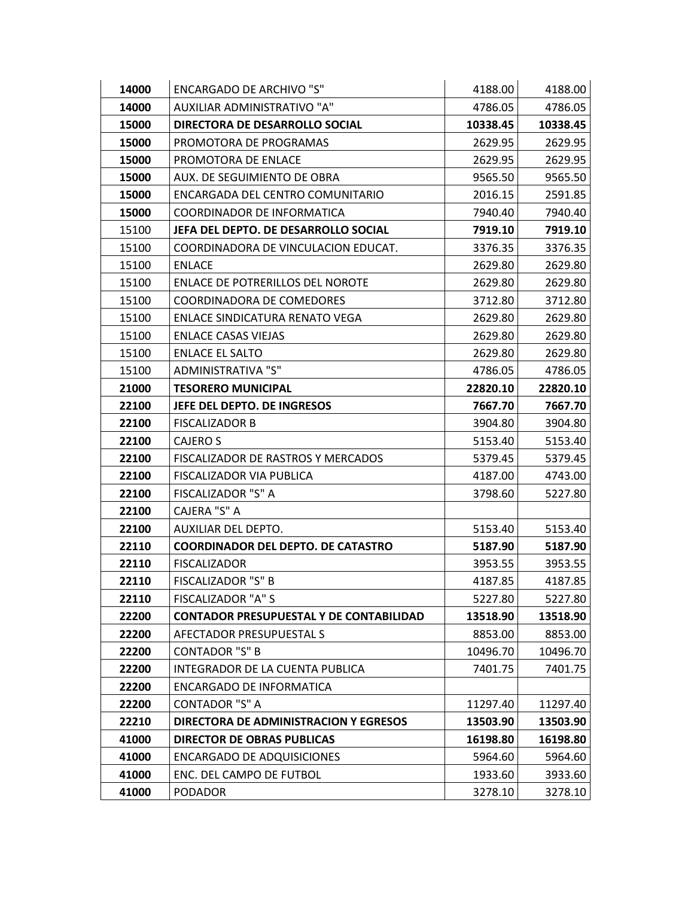| 14000 | <b>ENCARGADO DE ARCHIVO "S"</b>                | 4188.00  | 4188.00  |
|-------|------------------------------------------------|----------|----------|
| 14000 | AUXILIAR ADMINISTRATIVO "A"                    | 4786.05  | 4786.05  |
| 15000 | DIRECTORA DE DESARROLLO SOCIAL                 | 10338.45 | 10338.45 |
| 15000 | PROMOTORA DE PROGRAMAS                         | 2629.95  | 2629.95  |
| 15000 | PROMOTORA DE ENLACE                            | 2629.95  | 2629.95  |
| 15000 | AUX. DE SEGUIMIENTO DE OBRA                    | 9565.50  | 9565.50  |
| 15000 | ENCARGADA DEL CENTRO COMUNITARIO               | 2016.15  | 2591.85  |
| 15000 | COORDINADOR DE INFORMATICA                     | 7940.40  | 7940.40  |
| 15100 | JEFA DEL DEPTO. DE DESARROLLO SOCIAL           | 7919.10  | 7919.10  |
| 15100 | COORDINADORA DE VINCULACION EDUCAT.            | 3376.35  | 3376.35  |
| 15100 | <b>ENLACE</b>                                  | 2629.80  | 2629.80  |
| 15100 | ENLACE DE POTRERILLOS DEL NOROTE               | 2629.80  | 2629.80  |
| 15100 | <b>COORDINADORA DE COMEDORES</b>               | 3712.80  | 3712.80  |
| 15100 | ENLACE SINDICATURA RENATO VEGA                 | 2629.80  | 2629.80  |
| 15100 | <b>ENLACE CASAS VIEJAS</b>                     | 2629.80  | 2629.80  |
| 15100 | <b>ENLACE EL SALTO</b>                         | 2629.80  | 2629.80  |
| 15100 | ADMINISTRATIVA "S"                             | 4786.05  | 4786.05  |
| 21000 | <b>TESORERO MUNICIPAL</b>                      | 22820.10 | 22820.10 |
| 22100 | JEFE DEL DEPTO. DE INGRESOS                    | 7667.70  | 7667.70  |
| 22100 | <b>FISCALIZADOR B</b>                          | 3904.80  | 3904.80  |
| 22100 | CAJERO S                                       | 5153.40  | 5153.40  |
| 22100 | FISCALIZADOR DE RASTROS Y MERCADOS             | 5379.45  | 5379.45  |
| 22100 | FISCALIZADOR VIA PUBLICA                       | 4187.00  | 4743.00  |
| 22100 | FISCALIZADOR "S" A                             | 3798.60  | 5227.80  |
| 22100 | CAJERA "S" A                                   |          |          |
| 22100 | AUXILIAR DEL DEPTO.                            | 5153.40  | 5153.40  |
| 22110 | <b>COORDINADOR DEL DEPTO. DE CATASTRO</b>      | 5187.90  | 5187.90  |
| 22110 | <b>FISCALIZADOR</b>                            | 3953.55  | 3953.55  |
| 22110 | <b>FISCALIZADOR "S" B</b>                      | 4187.85  | 4187.85  |
| 22110 | FISCALIZADOR "A" S                             | 5227.80  | 5227.80  |
| 22200 | <b>CONTADOR PRESUPUESTAL Y DE CONTABILIDAD</b> | 13518.90 | 13518.90 |
| 22200 | AFECTADOR PRESUPUESTAL S                       | 8853.00  | 8853.00  |
| 22200 | <b>CONTADOR "S" B</b>                          | 10496.70 | 10496.70 |
| 22200 | INTEGRADOR DE LA CUENTA PUBLICA                | 7401.75  | 7401.75  |
| 22200 | <b>ENCARGADO DE INFORMATICA</b>                |          |          |
| 22200 | <b>CONTADOR "S" A</b>                          | 11297.40 | 11297.40 |
| 22210 | DIRECTORA DE ADMINISTRACION Y EGRESOS          | 13503.90 | 13503.90 |
| 41000 | <b>DIRECTOR DE OBRAS PUBLICAS</b>              | 16198.80 | 16198.80 |
| 41000 | <b>ENCARGADO DE ADQUISICIONES</b>              | 5964.60  | 5964.60  |
| 41000 | ENC. DEL CAMPO DE FUTBOL                       | 1933.60  | 3933.60  |
| 41000 | <b>PODADOR</b>                                 | 3278.10  | 3278.10  |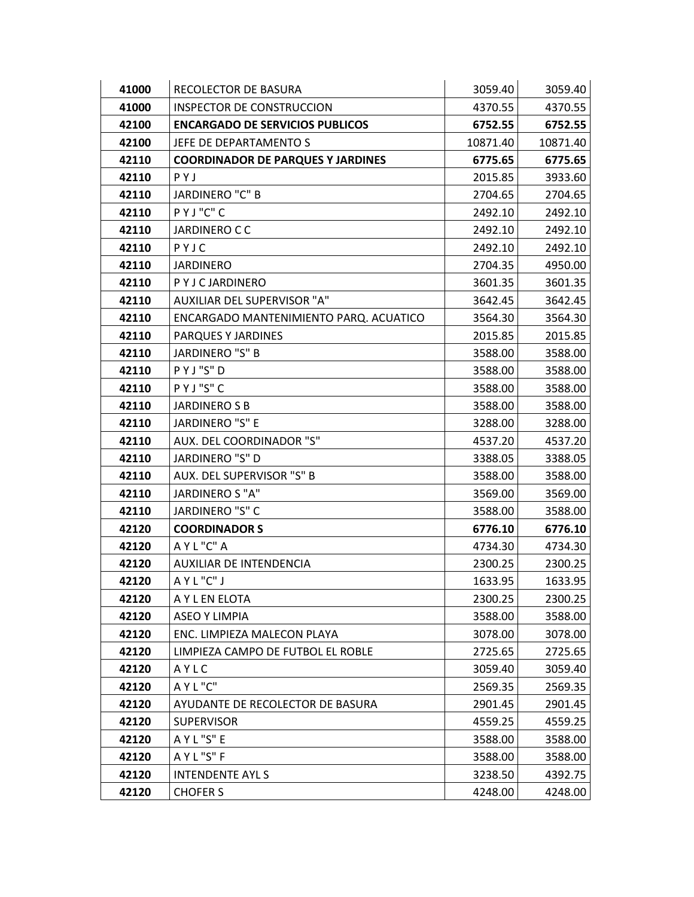| 41000 | RECOLECTOR DE BASURA                     | 3059.40  | 3059.40  |
|-------|------------------------------------------|----------|----------|
| 41000 | INSPECTOR DE CONSTRUCCION                | 4370.55  | 4370.55  |
| 42100 | <b>ENCARGADO DE SERVICIOS PUBLICOS</b>   | 6752.55  | 6752.55  |
| 42100 | JEFE DE DEPARTAMENTO S                   | 10871.40 | 10871.40 |
| 42110 | <b>COORDINADOR DE PARQUES Y JARDINES</b> | 6775.65  | 6775.65  |
| 42110 | PYJ                                      | 2015.85  | 3933.60  |
| 42110 | JARDINERO "C" B                          | 2704.65  | 2704.65  |
| 42110 | PYJ"C"C                                  | 2492.10  | 2492.10  |
| 42110 | JARDINERO C C                            | 2492.10  | 2492.10  |
| 42110 | PYJC                                     | 2492.10  | 2492.10  |
| 42110 | <b>JARDINERO</b>                         | 2704.35  | 4950.00  |
| 42110 | PYJCJARDINERO                            | 3601.35  | 3601.35  |
| 42110 | AUXILIAR DEL SUPERVISOR "A"              | 3642.45  | 3642.45  |
| 42110 | ENCARGADO MANTENIMIENTO PARQ. ACUATICO   | 3564.30  | 3564.30  |
| 42110 | PARQUES Y JARDINES                       | 2015.85  | 2015.85  |
| 42110 | JARDINERO "S" B                          | 3588.00  | 3588.00  |
| 42110 | PYJ"S"D                                  | 3588.00  | 3588.00  |
| 42110 | PYJ"S"C                                  | 3588.00  | 3588.00  |
| 42110 | <b>JARDINERO S B</b>                     | 3588.00  | 3588.00  |
| 42110 | JARDINERO "S" E                          | 3288.00  | 3288.00  |
| 42110 | AUX. DEL COORDINADOR "S"                 | 4537.20  | 4537.20  |
| 42110 | JARDINERO "S" D                          | 3388.05  | 3388.05  |
| 42110 | AUX. DEL SUPERVISOR "S" B                | 3588.00  | 3588.00  |
| 42110 | JARDINERO S "A"                          | 3569.00  | 3569.00  |
| 42110 | JARDINERO "S" C                          | 3588.00  | 3588.00  |
| 42120 | <b>COORDINADOR S</b>                     | 6776.10  | 6776.10  |
| 42120 | AYL"C" A                                 | 4734.30  | 4734.30  |
| 42120 | AUXILIAR DE INTENDENCIA                  | 2300.25  | 2300.25  |
| 42120 | AYL"C"J                                  | 1633.95  | 1633.95  |
| 42120 | A Y L EN ELOTA                           | 2300.25  | 2300.25  |
| 42120 | <b>ASEO Y LIMPIA</b>                     | 3588.00  | 3588.00  |
| 42120 | ENC. LIMPIEZA MALECON PLAYA              | 3078.00  | 3078.00  |
| 42120 | LIMPIEZA CAMPO DE FUTBOL EL ROBLE        | 2725.65  | 2725.65  |
| 42120 | AYLC                                     | 3059.40  | 3059.40  |
| 42120 | AYL"C"                                   | 2569.35  | 2569.35  |
| 42120 | AYUDANTE DE RECOLECTOR DE BASURA         | 2901.45  | 2901.45  |
| 42120 | <b>SUPERVISOR</b>                        | 4559.25  | 4559.25  |
| 42120 | AYL"S"E                                  | 3588.00  | 3588.00  |
| 42120 | AYL"S"F                                  | 3588.00  | 3588.00  |
| 42120 | <b>INTENDENTE AYL S</b>                  | 3238.50  | 4392.75  |
| 42120 | <b>CHOFER S</b>                          | 4248.00  | 4248.00  |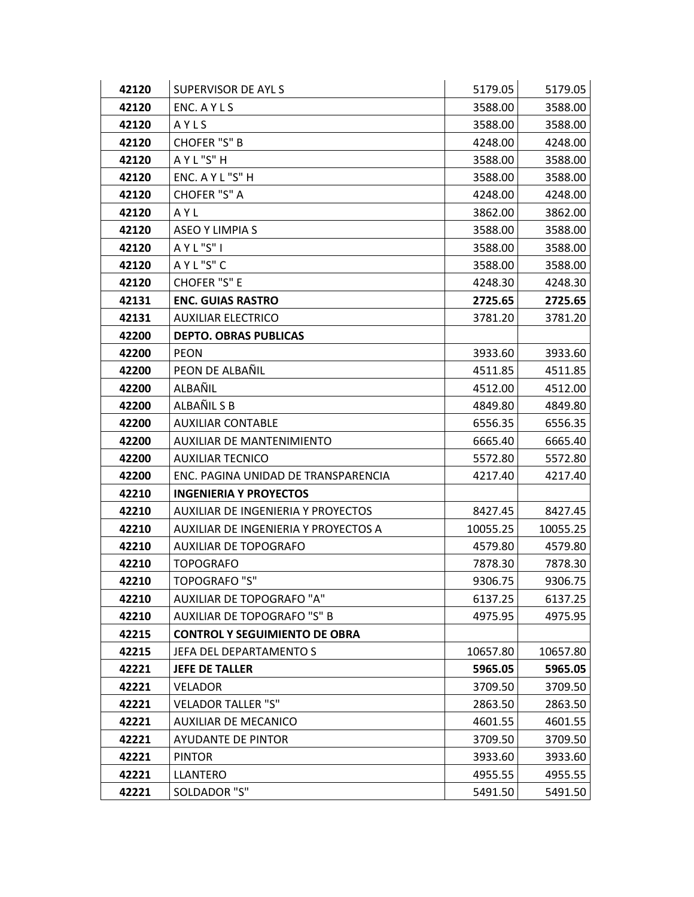| 42120 | SUPERVISOR DE AYL S                  | 5179.05  | 5179.05  |
|-------|--------------------------------------|----------|----------|
| 42120 | ENC. A Y L S                         | 3588.00  | 3588.00  |
| 42120 | AYLS                                 | 3588.00  | 3588.00  |
| 42120 | CHOFER "S" B                         | 4248.00  | 4248.00  |
| 42120 | AYL"S"H                              | 3588.00  | 3588.00  |
| 42120 | ENC. A Y L "S" H                     | 3588.00  | 3588.00  |
| 42120 | CHOFER "S" A                         | 4248.00  | 4248.00  |
| 42120 | AYL                                  | 3862.00  | 3862.00  |
| 42120 | <b>ASEO Y LIMPIA S</b>               | 3588.00  | 3588.00  |
| 42120 | AYL"S"I                              | 3588.00  | 3588.00  |
| 42120 | AYL"S"C                              | 3588.00  | 3588.00  |
| 42120 | CHOFER "S" E                         | 4248.30  | 4248.30  |
| 42131 | <b>ENC. GUIAS RASTRO</b>             | 2725.65  | 2725.65  |
| 42131 | <b>AUXILIAR ELECTRICO</b>            | 3781.20  | 3781.20  |
| 42200 | <b>DEPTO. OBRAS PUBLICAS</b>         |          |          |
| 42200 | <b>PEON</b>                          | 3933.60  | 3933.60  |
| 42200 | PEON DE ALBAÑIL                      | 4511.85  | 4511.85  |
| 42200 | ALBAÑIL                              | 4512.00  | 4512.00  |
| 42200 | ALBAÑIL S B                          | 4849.80  | 4849.80  |
| 42200 | <b>AUXILIAR CONTABLE</b>             | 6556.35  | 6556.35  |
| 42200 | <b>AUXILIAR DE MANTENIMIENTO</b>     | 6665.40  | 6665.40  |
| 42200 | <b>AUXILIAR TECNICO</b>              | 5572.80  | 5572.80  |
| 42200 | ENC. PAGINA UNIDAD DE TRANSPARENCIA  | 4217.40  | 4217.40  |
| 42210 | <b>INGENIERIA Y PROYECTOS</b>        |          |          |
| 42210 | AUXILIAR DE INGENIERIA Y PROYECTOS   | 8427.45  | 8427.45  |
| 42210 | AUXILIAR DE INGENIERIA Y PROYECTOS A | 10055.25 | 10055.25 |
| 42210 | AUXILIAR DE TOPOGRAFO                | 4579.80  | 4579.80  |
| 42210 | <b>TOPOGRAFO</b>                     | 7878.30  | 7878.30  |
| 42210 | <b>TOPOGRAFO "S"</b>                 | 9306.75  | 9306.75  |
| 42210 | AUXILIAR DE TOPOGRAFO "A"            | 6137.25  | 6137.25  |
| 42210 | <b>AUXILIAR DE TOPOGRAFO "S" B</b>   | 4975.95  | 4975.95  |
| 42215 | <b>CONTROL Y SEGUIMIENTO DE OBRA</b> |          |          |
| 42215 | JEFA DEL DEPARTAMENTO S              | 10657.80 | 10657.80 |
| 42221 | <b>JEFE DE TALLER</b>                | 5965.05  | 5965.05  |
| 42221 | <b>VELADOR</b>                       | 3709.50  | 3709.50  |
| 42221 | <b>VELADOR TALLER "S"</b>            | 2863.50  | 2863.50  |
| 42221 | <b>AUXILIAR DE MECANICO</b>          | 4601.55  | 4601.55  |
| 42221 | <b>AYUDANTE DE PINTOR</b>            | 3709.50  | 3709.50  |
| 42221 | <b>PINTOR</b>                        | 3933.60  | 3933.60  |
| 42221 | LLANTERO                             | 4955.55  | 4955.55  |
| 42221 | SOLDADOR "S"                         | 5491.50  | 5491.50  |